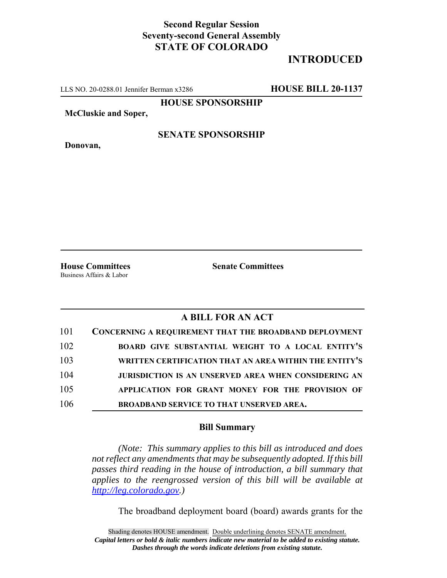## **Second Regular Session Seventy-second General Assembly STATE OF COLORADO**

## **INTRODUCED**

LLS NO. 20-0288.01 Jennifer Berman x3286 **HOUSE BILL 20-1137**

**HOUSE SPONSORSHIP**

**McCluskie and Soper,**

**SENATE SPONSORSHIP**

**Donovan,**

Business Affairs & Labor

**House Committees Senate Committees** 

## **A BILL FOR AN ACT**

| 101 | <b>CONCERNING A REQUIREMENT THAT THE BROADBAND DEPLOYMENT</b> |
|-----|---------------------------------------------------------------|
| 102 | BOARD GIVE SUBSTANTIAL WEIGHT TO A LOCAL ENTITY'S             |
| 103 | WRITTEN CERTIFICATION THAT AN AREA WITHIN THE ENTITY'S        |
| 104 | JURISDICTION IS AN UNSERVED AREA WHEN CONSIDERING AN          |
| 105 | APPLICATION FOR GRANT MONEY FOR THE PROVISION OF              |
| 106 | <b>BROADBAND SERVICE TO THAT UNSERVED AREA.</b>               |

## **Bill Summary**

*(Note: This summary applies to this bill as introduced and does not reflect any amendments that may be subsequently adopted. If this bill passes third reading in the house of introduction, a bill summary that applies to the reengrossed version of this bill will be available at http://leg.colorado.gov.)*

The broadband deployment board (board) awards grants for the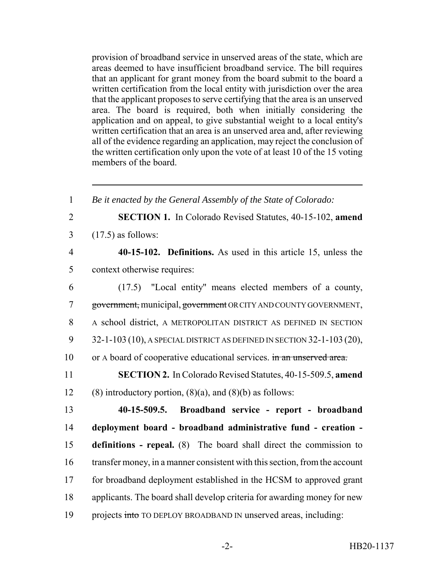provision of broadband service in unserved areas of the state, which are areas deemed to have insufficient broadband service. The bill requires that an applicant for grant money from the board submit to the board a written certification from the local entity with jurisdiction over the area that the applicant proposes to serve certifying that the area is an unserved area. The board is required, both when initially considering the application and on appeal, to give substantial weight to a local entity's written certification that an area is an unserved area and, after reviewing all of the evidence regarding an application, may reject the conclusion of the written certification only upon the vote of at least 10 of the 15 voting members of the board.

 *Be it enacted by the General Assembly of the State of Colorado:* **SECTION 1.** In Colorado Revised Statutes, 40-15-102, **amend** (17.5) as follows: **40-15-102. Definitions.** As used in this article 15, unless the context otherwise requires: (17.5) "Local entity" means elected members of a county, government, municipal, government OR CITY AND COUNTY GOVERNMENT, A school district, A METROPOLITAN DISTRICT AS DEFINED IN SECTION 32-1-103 (10), A SPECIAL DISTRICT AS DEFINED IN SECTION 32-1-103 (20), 10 or A board of cooperative educational services. in an unserved area. **SECTION 2.** In Colorado Revised Statutes, 40-15-509.5, **amend** 12 (8) introductory portion,  $(8)(a)$ , and  $(8)(b)$  as follows: **40-15-509.5. Broadband service - report - broadband deployment board - broadband administrative fund - creation - definitions - repeal.** (8) The board shall direct the commission to transfer money, in a manner consistent with this section, from the account for broadband deployment established in the HCSM to approved grant applicants. The board shall develop criteria for awarding money for new 19 projects into TO DEPLOY BROADBAND IN unserved areas, including: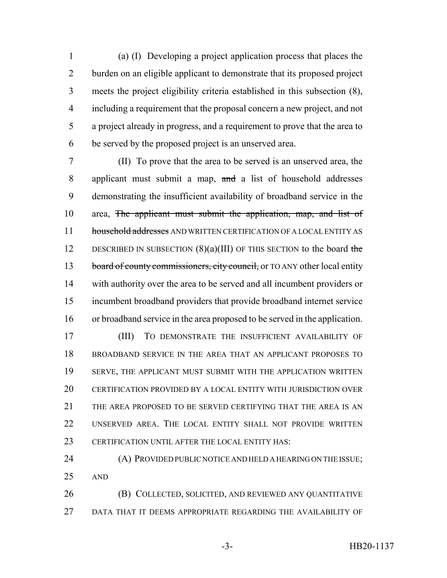(a) (I) Developing a project application process that places the burden on an eligible applicant to demonstrate that its proposed project meets the project eligibility criteria established in this subsection (8), including a requirement that the proposal concern a new project, and not a project already in progress, and a requirement to prove that the area to be served by the proposed project is an unserved area.

 (II) To prove that the area to be served is an unserved area, the applicant must submit a map, and a list of household addresses demonstrating the insufficient availability of broadband service in the 10 area, The applicant must submit the application, map, and list of 11 household addresses AND WRITTEN CERTIFICATION OF A LOCAL ENTITY AS 12 DESCRIBED IN SUBSECTION  $(8)(a)(III)$  OF THIS SECTION to the board the 13 board of county commissioners, city council, or TO ANY other local entity with authority over the area to be served and all incumbent providers or incumbent broadband providers that provide broadband internet service or broadband service in the area proposed to be served in the application.

 (III) TO DEMONSTRATE THE INSUFFICIENT AVAILABILITY OF BROADBAND SERVICE IN THE AREA THAT AN APPLICANT PROPOSES TO SERVE, THE APPLICANT MUST SUBMIT WITH THE APPLICATION WRITTEN CERTIFICATION PROVIDED BY A LOCAL ENTITY WITH JURISDICTION OVER THE AREA PROPOSED TO BE SERVED CERTIFYING THAT THE AREA IS AN UNSERVED AREA. THE LOCAL ENTITY SHALL NOT PROVIDE WRITTEN CERTIFICATION UNTIL AFTER THE LOCAL ENTITY HAS:

 (A) PROVIDED PUBLIC NOTICE AND HELD A HEARING ON THE ISSUE; AND

 (B) COLLECTED, SOLICITED, AND REVIEWED ANY QUANTITATIVE DATA THAT IT DEEMS APPROPRIATE REGARDING THE AVAILABILITY OF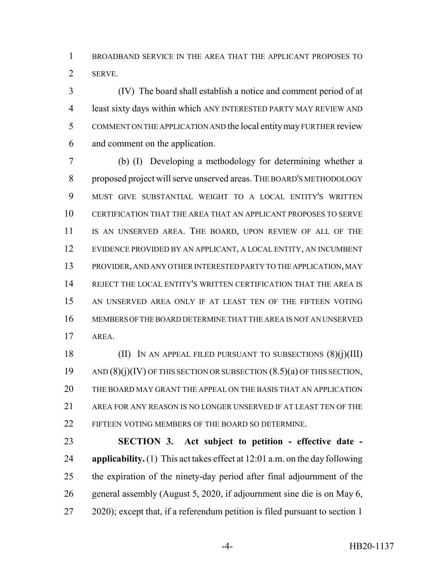BROADBAND SERVICE IN THE AREA THAT THE APPLICANT PROPOSES TO SERVE.

 (IV) The board shall establish a notice and comment period of at least sixty days within which ANY INTERESTED PARTY MAY REVIEW AND COMMENT ON THE APPLICATION AND the local entity may FURTHER review and comment on the application.

 (b) (I) Developing a methodology for determining whether a proposed project will serve unserved areas. THE BOARD'S METHODOLOGY MUST GIVE SUBSTANTIAL WEIGHT TO A LOCAL ENTITY'S WRITTEN CERTIFICATION THAT THE AREA THAT AN APPLICANT PROPOSES TO SERVE IS AN UNSERVED AREA. THE BOARD, UPON REVIEW OF ALL OF THE EVIDENCE PROVIDED BY AN APPLICANT, A LOCAL ENTITY, AN INCUMBENT PROVIDER, AND ANY OTHER INTERESTED PARTY TO THE APPLICATION, MAY REJECT THE LOCAL ENTITY'S WRITTEN CERTIFICATION THAT THE AREA IS AN UNSERVED AREA ONLY IF AT LEAST TEN OF THE FIFTEEN VOTING MEMBERS OF THE BOARD DETERMINE THAT THE AREA IS NOT AN UNSERVED AREA.

18 (II) IN AN APPEAL FILED PURSUANT TO SUBSECTIONS  $(8)(i)(III)$ 19 AND  $(8)(i)$  (IV) OF THIS SECTION OR SUBSECTION  $(8.5)(a)$  OF THIS SECTION, THE BOARD MAY GRANT THE APPEAL ON THE BASIS THAT AN APPLICATION AREA FOR ANY REASON IS NO LONGER UNSERVED IF AT LEAST TEN OF THE FIFTEEN VOTING MEMBERS OF THE BOARD SO DETERMINE.

 **SECTION 3. Act subject to petition - effective date - applicability.** (1) This act takes effect at 12:01 a.m. on the day following the expiration of the ninety-day period after final adjournment of the general assembly (August 5, 2020, if adjournment sine die is on May 6, 2020); except that, if a referendum petition is filed pursuant to section 1